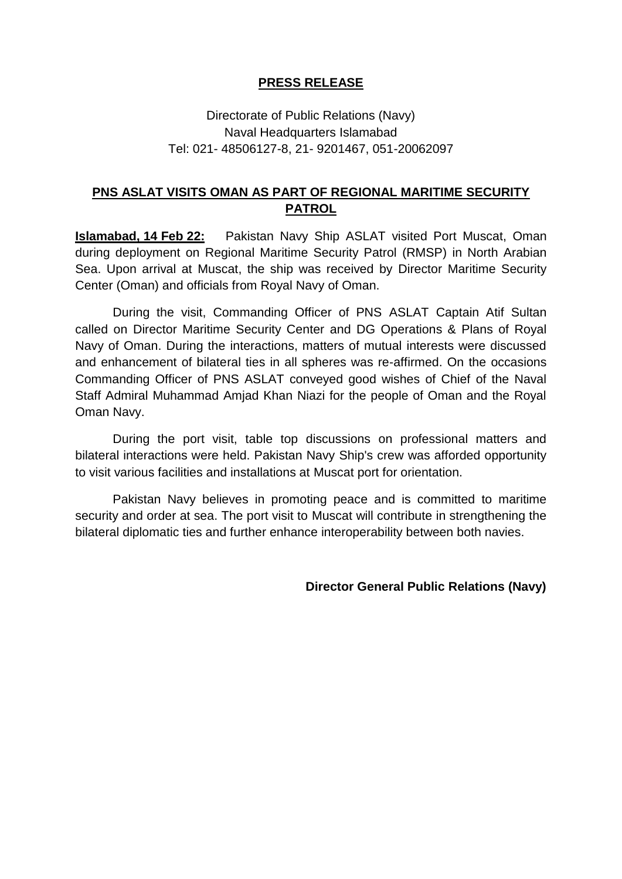## **PRESS RELEASE**

## Directorate of Public Relations (Navy) Naval Headquarters Islamabad Tel: 021- 48506127-8, 21- 9201467, 051-20062097

## **PNS ASLAT VISITS OMAN AS PART OF REGIONAL MARITIME SECURITY PATROL**

**Islamabad, 14 Feb 22:** Pakistan Navy Ship ASLAT visited Port Muscat, Oman during deployment on Regional Maritime Security Patrol (RMSP) in North Arabian Sea. Upon arrival at Muscat, the ship was received by Director Maritime Security Center (Oman) and officials from Royal Navy of Oman.

During the visit, Commanding Officer of PNS ASLAT Captain Atif Sultan called on Director Maritime Security Center and DG Operations & Plans of Royal Navy of Oman. During the interactions, matters of mutual interests were discussed and enhancement of bilateral ties in all spheres was re-affirmed. On the occasions Commanding Officer of PNS ASLAT conveyed good wishes of Chief of the Naval Staff Admiral Muhammad Amjad Khan Niazi for the people of Oman and the Royal Oman Navy.

During the port visit, table top discussions on professional matters and bilateral interactions were held. Pakistan Navy Ship's crew was afforded opportunity to visit various facilities and installations at Muscat port for orientation.

Pakistan Navy believes in promoting peace and is committed to maritime security and order at sea. The port visit to Muscat will contribute in strengthening the bilateral diplomatic ties and further enhance interoperability between both navies.

**Director General Public Relations (Navy)**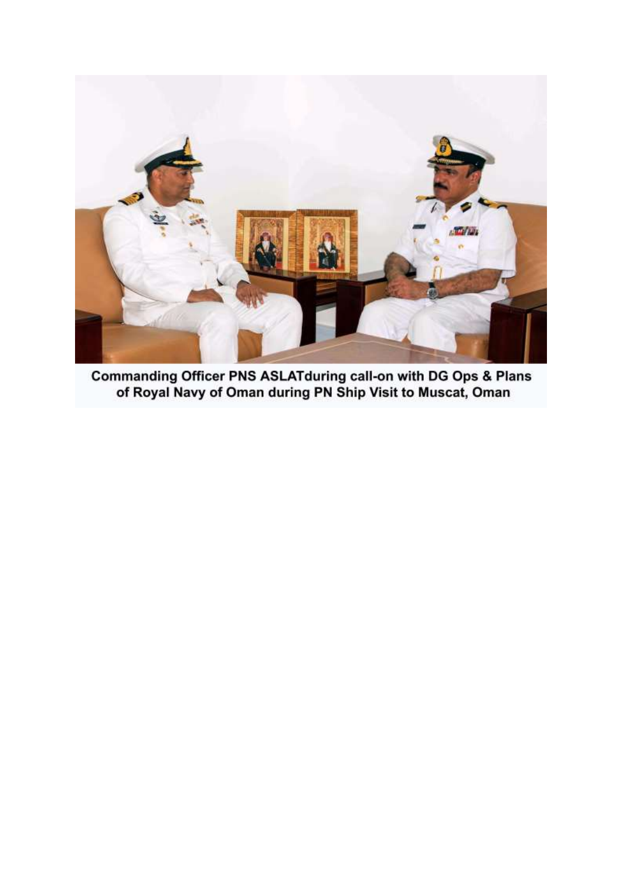

Commanding Officer PNS ASLATduring call-on with DG Ops & Plans of Royal Navy of Oman during PN Ship Visit to Muscat, Oman